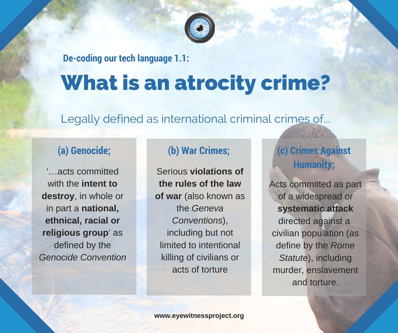

**De-coding our tech language 1.1:**

# What is an atrocity crime?

Legally defined as international criminal crimes of...

'…acts committed with the **intent to destroy**, in whole or in part a **national, ethnical, racial or religious group**' as defined by the *Genocide Convention*

Serious **violations of the rules of the law of war** (also known as the *Geneva Conventions*), including but not limited to intentional killing of civilians or acts of torture

## **(a) Genocide; (b) War Crimes; (c) Crimes Against Humanity;**

Acts committed as part of a widespread or **systematic attack** directed against a civilian population (as define by the *Rome Statute*), including murder, enslavement and torture.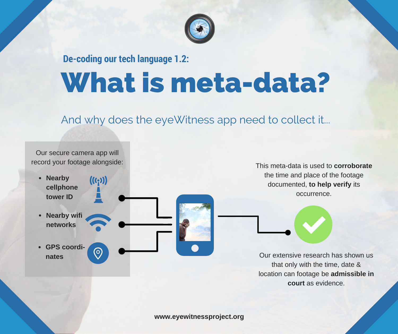

## What is meta-data? **De-coding our tech language 1.2:**

### And why does the eyeWitness app need to collect it...



**www.eyewitnessproject.org**